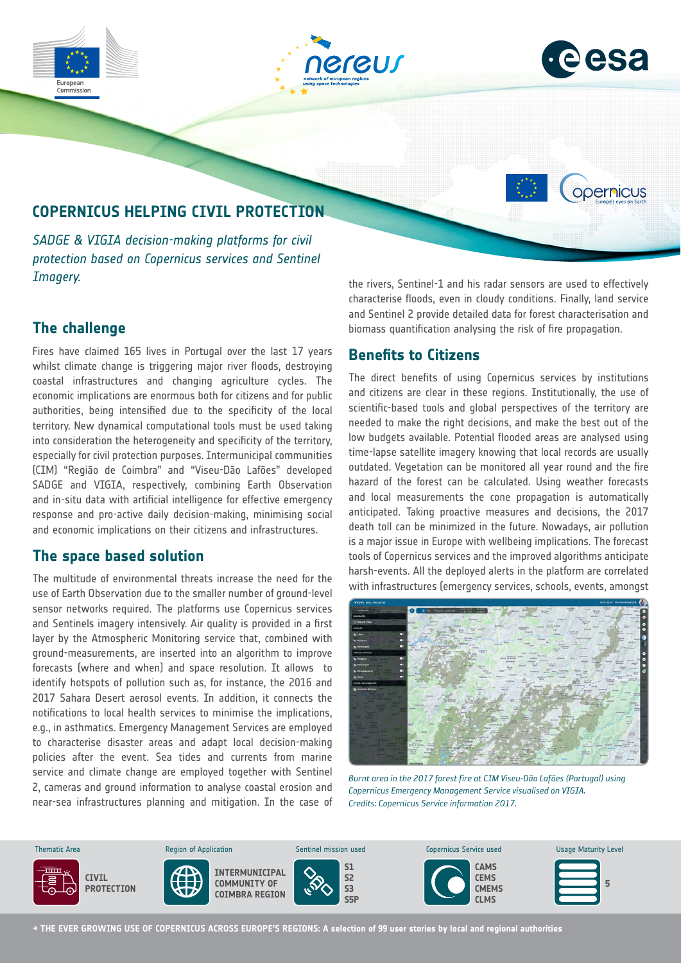

## **The challenge**

Fires have claimed 165 lives in Portugal over the last 17 years whilst climate change is triggering major river floods, destroying coastal infrastructures and changing agriculture cycles. The economic implications are enormous both for citizens and for public authorities, being intensified due to the specificity of the local territory. New dynamical computational tools must be used taking into consideration the heterogeneity and specificity of the territory, especially for civil protection purposes. Intermunicipal communities (CIM) "Região de Coimbra" and "Viseu-Dão Lafões" developed SADGE and VIGIA, respectively, combining Earth Observation and in-situ data with artificial intelligence for effective emergency response and pro-active daily decision-making, minimising social and economic implications on their citizens and infrastructures.

#### **The space based solution**

The multitude of environmental threats increase the need for the use of Earth Observation due to the smaller number of ground-level sensor networks required. The platforms use Copernicus services and Sentinels imagery intensively. Air quality is provided in a first layer by the Atmospheric Monitoring service that, combined with ground-measurements, are inserted into an algorithm to improve forecasts (where and when) and space resolution. It allows to identify hotspots of pollution such as, for instance, the 2016 and 2017 Sahara Desert aerosol events. In addition, it connects the notifications to local health services to minimise the implications, e.g., in asthmatics. Emergency Management Services are employed to characterise disaster areas and adapt local decision-making policies after the event. Sea tides and currents from marine service and climate change are employed together with Sentinel 2, cameras and ground information to analyse coastal erosion and near-sea infrastructures planning and mitigation. In the case of the rivers, Sentinel-1 and his radar sensors are used to effectively characterise floods, even in cloudy conditions. Finally, land service and Sentinel 2 provide detailed data for forest characterisation and biomass quantification analysing the risk of fire propagation.

### **Benefits to Citizens**

The direct benefits of using Copernicus services by institutions and citizens are clear in these regions. Institutionally, the use of scientific-based tools and global perspectives of the territory are needed to make the right decisions, and make the best out of the low budgets available. Potential flooded areas are analysed using time-lapse satellite imagery knowing that local records are usually outdated. Vegetation can be monitored all year round and the fire hazard of the forest can be calculated. Using weather forecasts and local measurements the cone propagation is automatically anticipated. Taking proactive measures and decisions, the 2017 death toll can be minimized in the future. Nowadays, air pollution is a major issue in Europe with wellbeing implications. The forecast tools of Copernicus services and the improved algorithms anticipate harsh-events. All the deployed alerts in the platform are correlated with infrastructures (emergency services, schools, events, amongst



*Burnt area in the 2017 forest fire at CIM Viseu-Dão Lafões (Portugal) using Copernicus Emergency Management Service visualised on VIGIA. Credits: Copernicus Service information 2017.*



**→ THE EVER GROWING USE OF COPERNICUS ACROSS EUROPE'S REGIONS: A selection of 99 user stories by local and regional authorities**